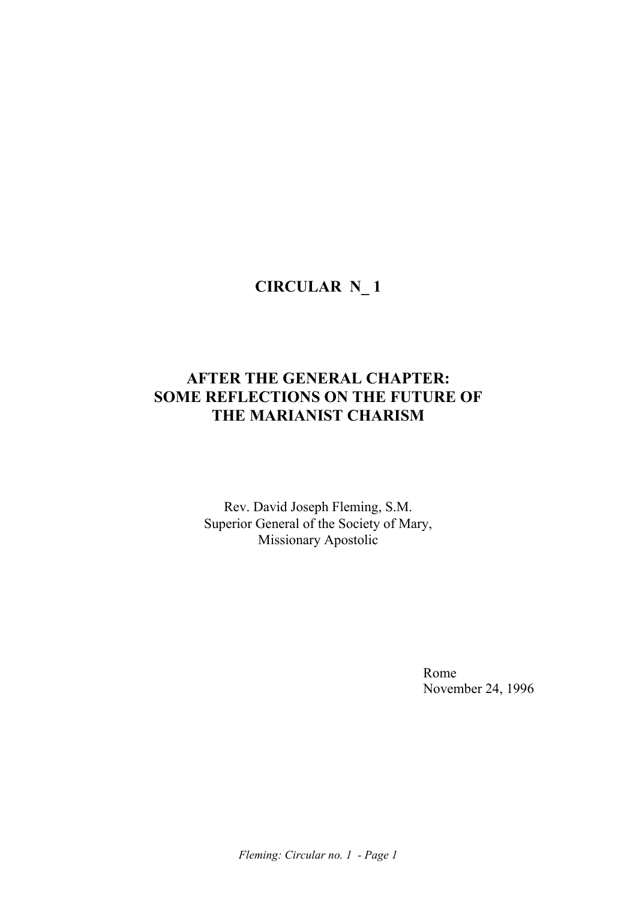# **CIRCULAR N\_ 1**

# **AFTER THE GENERAL CHAPTER: SOME REFLECTIONS ON THE FUTURE OF THE MARIANIST CHARISM**

Rev. David Joseph Fleming, S.M. Superior General of the Society of Mary, Missionary Apostolic

**Rome** Rome November 24, 1996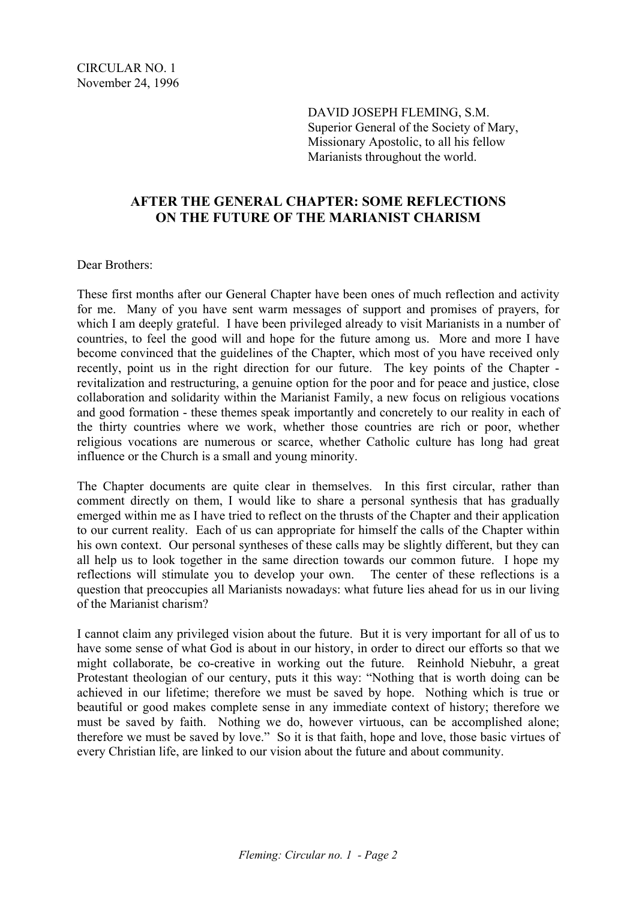DAVID JOSEPH FLEMING, S.M. Superior General of the Society of Mary, Missionary Apostolic, to all his fellow Marianists throughout the world.

### **AFTER THE GENERAL CHAPTER: SOME REFLECTIONS ON THE FUTURE OF THE MARIANIST CHARISM**

Dear Brothers:

These first months after our General Chapter have been ones of much reflection and activity for me. Many of you have sent warm messages of support and promises of prayers, for which I am deeply grateful. I have been privileged already to visit Marianists in a number of countries, to feel the good will and hope for the future among us. More and more I have become convinced that the guidelines of the Chapter, which most of you have received only recently, point us in the right direction for our future. The key points of the Chapter revitalization and restructuring, a genuine option for the poor and for peace and justice, close collaboration and solidarity within the Marianist Family, a new focus on religious vocations and good formation - these themes speak importantly and concretely to our reality in each of the thirty countries where we work, whether those countries are rich or poor, whether religious vocations are numerous or scarce, whether Catholic culture has long had great influence or the Church is a small and young minority.

The Chapter documents are quite clear in themselves. In this first circular, rather than comment directly on them, I would like to share a personal synthesis that has gradually emerged within me as I have tried to reflect on the thrusts of the Chapter and their application to our current reality. Each of us can appropriate for himself the calls of the Chapter within his own context. Our personal syntheses of these calls may be slightly different, but they can all help us to look together in the same direction towards our common future. I hope my reflections will stimulate you to develop your own. The center of these reflections is a question that preoccupies all Marianists nowadays: what future lies ahead for us in our living of the Marianist charism?

I cannot claim any privileged vision about the future. But it is very important for all of us to have some sense of what God is about in our history, in order to direct our efforts so that we might collaborate, be co-creative in working out the future. Reinhold Niebuhr, a great Protestant theologian of our century, puts it this way: "Nothing that is worth doing can be achieved in our lifetime; therefore we must be saved by hope. Nothing which is true or beautiful or good makes complete sense in any immediate context of history; therefore we must be saved by faith. Nothing we do, however virtuous, can be accomplished alone; therefore we must be saved by love." So it is that faith, hope and love, those basic virtues of every Christian life, are linked to our vision about the future and about community.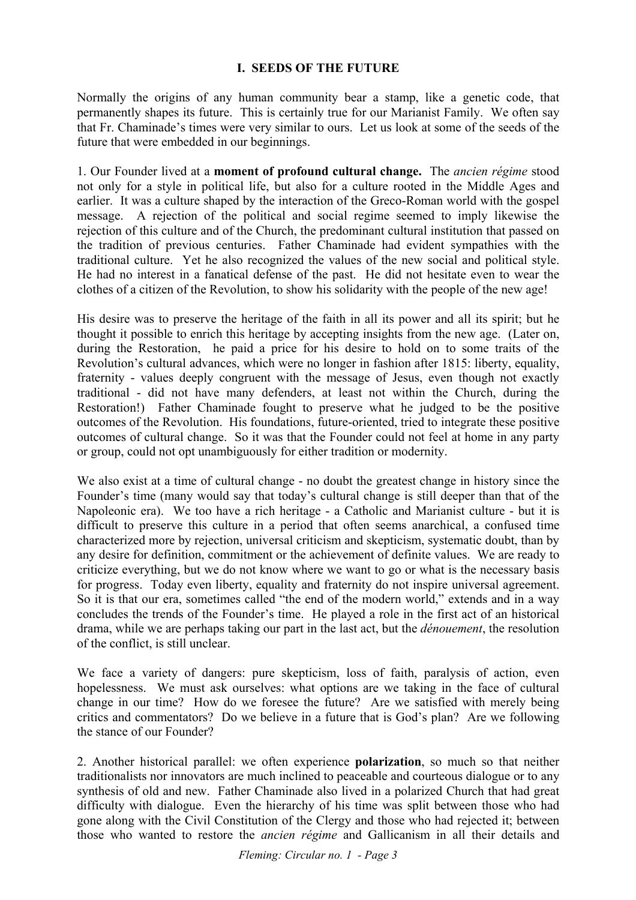#### **I. SEEDS OF THE FUTURE**

Normally the origins of any human community bear a stamp, like a genetic code, that permanently shapes its future. This is certainly true for our Marianist Family. We often say that Fr. Chaminade's times were very similar to ours. Let us look at some of the seeds of the future that were embedded in our beginnings.

1. Our Founder lived at a **moment of profound cultural change.** The *ancien régime* stood not only for a style in political life, but also for a culture rooted in the Middle Ages and earlier. It was a culture shaped by the interaction of the Greco-Roman world with the gospel message. A rejection of the political and social regime seemed to imply likewise the rejection of this culture and of the Church, the predominant cultural institution that passed on the tradition of previous centuries. Father Chaminade had evident sympathies with the traditional culture. Yet he also recognized the values of the new social and political style. He had no interest in a fanatical defense of the past. He did not hesitate even to wear the clothes of a citizen of the Revolution, to show his solidarity with the people of the new age!

His desire was to preserve the heritage of the faith in all its power and all its spirit; but he thought it possible to enrich this heritage by accepting insights from the new age. (Later on, during the Restoration, he paid a price for his desire to hold on to some traits of the Revolution's cultural advances, which were no longer in fashion after 1815: liberty, equality, fraternity - values deeply congruent with the message of Jesus, even though not exactly traditional - did not have many defenders, at least not within the Church, during the Restoration!) Father Chaminade fought to preserve what he judged to be the positive outcomes of the Revolution. His foundations, future-oriented, tried to integrate these positive outcomes of cultural change. So it was that the Founder could not feel at home in any party or group, could not opt unambiguously for either tradition or modernity.

We also exist at a time of cultural change - no doubt the greatest change in history since the Founder's time (many would say that today's cultural change is still deeper than that of the Napoleonic era). We too have a rich heritage - a Catholic and Marianist culture - but it is difficult to preserve this culture in a period that often seems anarchical, a confused time characterized more by rejection, universal criticism and skepticism, systematic doubt, than by any desire for definition, commitment or the achievement of definite values. We are ready to criticize everything, but we do not know where we want to go or what is the necessary basis for progress. Today even liberty, equality and fraternity do not inspire universal agreement. So it is that our era, sometimes called "the end of the modern world," extends and in a way concludes the trends of the Founder's time. He played a role in the first act of an historical drama, while we are perhaps taking our part in the last act, but the *dénouement*, the resolution of the conflict, is still unclear.

We face a variety of dangers: pure skepticism, loss of faith, paralysis of action, even hopelessness. We must ask ourselves: what options are we taking in the face of cultural change in our time? How do we foresee the future? Are we satisfied with merely being critics and commentators? Do we believe in a future that is God's plan? Are we following the stance of our Founder?

2. Another historical parallel: we often experience **polarization**, so much so that neither traditionalists nor innovators are much inclined to peaceable and courteous dialogue or to any synthesis of old and new. Father Chaminade also lived in a polarized Church that had great difficulty with dialogue. Even the hierarchy of his time was split between those who had gone along with the Civil Constitution of the Clergy and those who had rejected it; between those who wanted to restore the *ancien régime* and Gallicanism in all their details and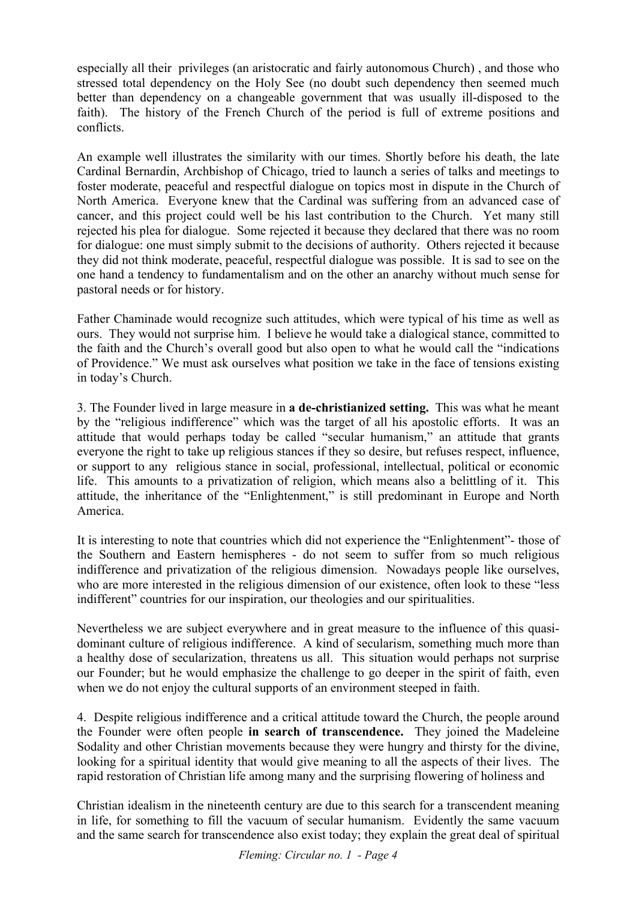especially all their privileges (an aristocratic and fairly autonomous Church) , and those who stressed total dependency on the Holy See (no doubt such dependency then seemed much better than dependency on a changeable government that was usually ill-disposed to the faith). The history of the French Church of the period is full of extreme positions and conflicts.

An example well illustrates the similarity with our times. Shortly before his death, the late Cardinal Bernardin, Archbishop of Chicago, tried to launch a series of talks and meetings to foster moderate, peaceful and respectful dialogue on topics most in dispute in the Church of North America. Everyone knew that the Cardinal was suffering from an advanced case of cancer, and this project could well be his last contribution to the Church. Yet many still rejected his plea for dialogue. Some rejected it because they declared that there was no room for dialogue: one must simply submit to the decisions of authority. Others rejected it because they did not think moderate, peaceful, respectful dialogue was possible. It is sad to see on the one hand a tendency to fundamentalism and on the other an anarchy without much sense for pastoral needs or for history.

Father Chaminade would recognize such attitudes, which were typical of his time as well as ours. They would not surprise him. I believe he would take a dialogical stance, committed to the faith and the Church's overall good but also open to what he would call the "indications of Providence." We must ask ourselves what position we take in the face of tensions existing in today's Church.

3. The Founder lived in large measure in **a de-christianized setting.** This was what he meant by the "religious indifference" which was the target of all his apostolic efforts. It was an attitude that would perhaps today be called "secular humanism," an attitude that grants everyone the right to take up religious stances if they so desire, but refuses respect, influence, or support to any religious stance in social, professional, intellectual, political or economic life. This amounts to a privatization of religion, which means also a belittling of it. This attitude, the inheritance of the "Enlightenment," is still predominant in Europe and North America.

It is interesting to note that countries which did not experience the "Enlightenment"- those of the Southern and Eastern hemispheres - do not seem to suffer from so much religious indifference and privatization of the religious dimension. Nowadays people like ourselves, who are more interested in the religious dimension of our existence, often look to these "less" indifferent" countries for our inspiration, our theologies and our spiritualities.

Nevertheless we are subject everywhere and in great measure to the influence of this quasidominant culture of religious indifference. A kind of secularism, something much more than a healthy dose of secularization, threatens us all. This situation would perhaps not surprise our Founder; but he would emphasize the challenge to go deeper in the spirit of faith, even when we do not enjoy the cultural supports of an environment steeped in faith.

4. Despite religious indifference and a critical attitude toward the Church, the people around the Founder were often people **in search of transcendence.** They joined the Madeleine Sodality and other Christian movements because they were hungry and thirsty for the divine, looking for a spiritual identity that would give meaning to all the aspects of their lives. The rapid restoration of Christian life among many and the surprising flowering of holiness and

Christian idealism in the nineteenth century are due to this search for a transcendent meaning in life, for something to fill the vacuum of secular humanism. Evidently the same vacuum and the same search for transcendence also exist today; they explain the great deal of spiritual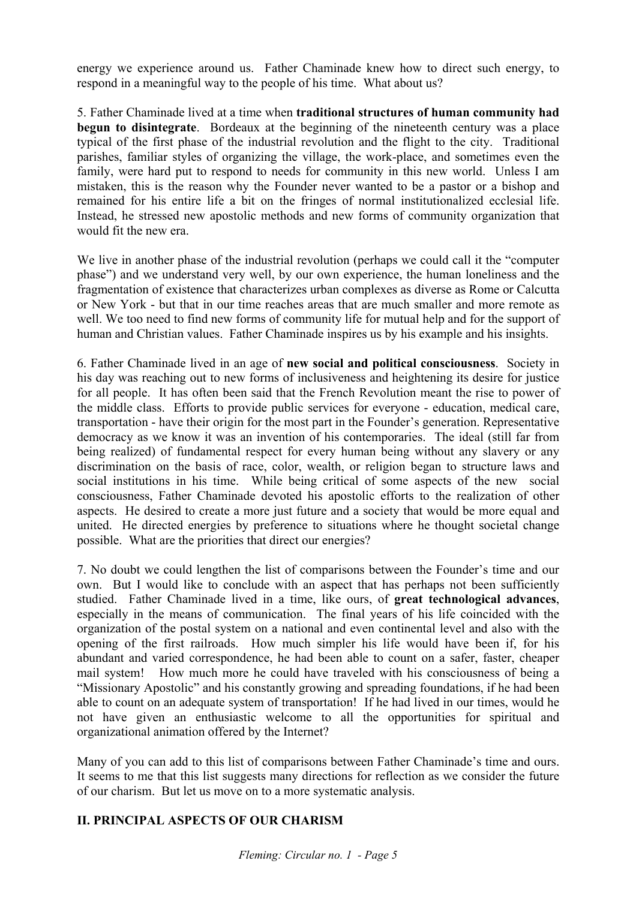energy we experience around us. Father Chaminade knew how to direct such energy, to respond in a meaningful way to the people of his time. What about us?

5. Father Chaminade lived at a time when **traditional structures of human community had begun to disintegrate**. Bordeaux at the beginning of the nineteenth century was a place typical of the first phase of the industrial revolution and the flight to the city. Traditional parishes, familiar styles of organizing the village, the work-place, and sometimes even the family, were hard put to respond to needs for community in this new world. Unless I am mistaken, this is the reason why the Founder never wanted to be a pastor or a bishop and remained for his entire life a bit on the fringes of normal institutionalized ecclesial life. Instead, he stressed new apostolic methods and new forms of community organization that would fit the new era.

We live in another phase of the industrial revolution (perhaps we could call it the "computer phase") and we understand very well, by our own experience, the human loneliness and the fragmentation of existence that characterizes urban complexes as diverse as Rome or Calcutta or New York - but that in our time reaches areas that are much smaller and more remote as well. We too need to find new forms of community life for mutual help and for the support of human and Christian values. Father Chaminade inspires us by his example and his insights.

6. Father Chaminade lived in an age of **new social and political consciousness**. Society in his day was reaching out to new forms of inclusiveness and heightening its desire for justice for all people. It has often been said that the French Revolution meant the rise to power of the middle class. Efforts to provide public services for everyone - education, medical care, transportation - have their origin for the most part in the Founder's generation. Representative democracy as we know it was an invention of his contemporaries. The ideal (still far from being realized) of fundamental respect for every human being without any slavery or any discrimination on the basis of race, color, wealth, or religion began to structure laws and social institutions in his time. While being critical of some aspects of the new social consciousness, Father Chaminade devoted his apostolic efforts to the realization of other aspects. He desired to create a more just future and a society that would be more equal and united. He directed energies by preference to situations where he thought societal change possible. What are the priorities that direct our energies?

7. No doubt we could lengthen the list of comparisons between the Founder's time and our own. But I would like to conclude with an aspect that has perhaps not been sufficiently studied. Father Chaminade lived in a time, like ours, of **great technological advances**, especially in the means of communication. The final years of his life coincided with the organization of the postal system on a national and even continental level and also with the opening of the first railroads. How much simpler his life would have been if, for his abundant and varied correspondence, he had been able to count on a safer, faster, cheaper mail system! How much more he could have traveled with his consciousness of being a "Missionary Apostolic" and his constantly growing and spreading foundations, if he had been able to count on an adequate system of transportation! If he had lived in our times, would he not have given an enthusiastic welcome to all the opportunities for spiritual and organizational animation offered by the Internet?

Many of you can add to this list of comparisons between Father Chaminade's time and ours. It seems to me that this list suggests many directions for reflection as we consider the future of our charism. But let us move on to a more systematic analysis.

## **II. PRINCIPAL ASPECTS OF OUR CHARISM**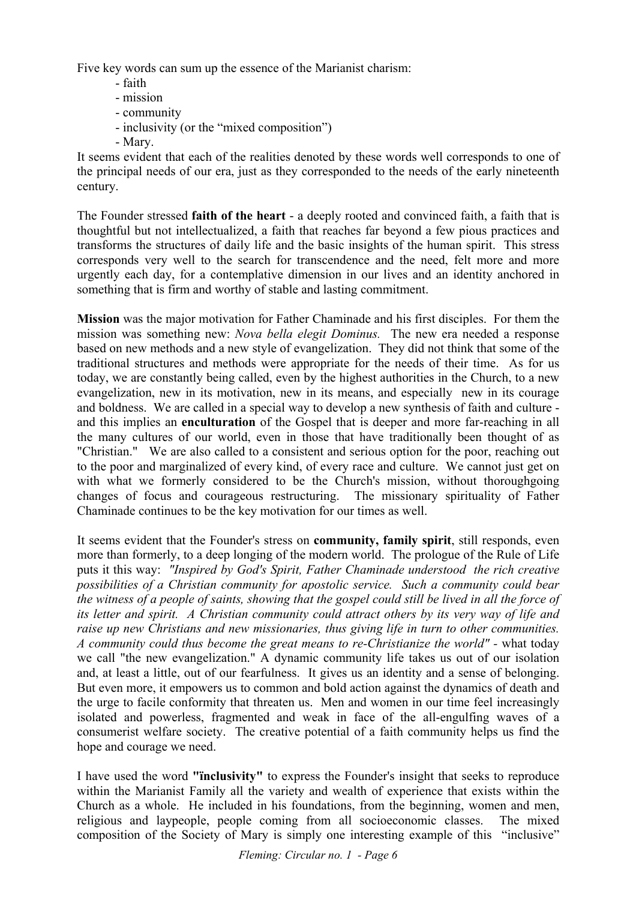Five key words can sum up the essence of the Marianist charism:

- faith
- mission
- community
- inclusivity (or the "mixed composition")
- Mary.

It seems evident that each of the realities denoted by these words well corresponds to one of the principal needs of our era, just as they corresponded to the needs of the early nineteenth century.

The Founder stressed **faith of the heart** - a deeply rooted and convinced faith, a faith that is thoughtful but not intellectualized, a faith that reaches far beyond a few pious practices and transforms the structures of daily life and the basic insights of the human spirit. This stress corresponds very well to the search for transcendence and the need, felt more and more urgently each day, for a contemplative dimension in our lives and an identity anchored in something that is firm and worthy of stable and lasting commitment.

**Mission** was the major motivation for Father Chaminade and his first disciples. For them the mission was something new: *Nova bella elegit Dominus.* The new era needed a response based on new methods and a new style of evangelization. They did not think that some of the traditional structures and methods were appropriate for the needs of their time. As for us today, we are constantly being called, even by the highest authorities in the Church, to a new evangelization, new in its motivation, new in its means, and especially new in its courage and boldness. We are called in a special way to develop a new synthesis of faith and culture and this implies an **enculturation** of the Gospel that is deeper and more far-reaching in all the many cultures of our world, even in those that have traditionally been thought of as "Christian." We are also called to a consistent and serious option for the poor, reaching out to the poor and marginalized of every kind, of every race and culture. We cannot just get on with what we formerly considered to be the Church's mission, without thoroughgoing changes of focus and courageous restructuring. The missionary spirituality of Father Chaminade continues to be the key motivation for our times as well.

It seems evident that the Founder's stress on **community, family spirit**, still responds, even more than formerly, to a deep longing of the modern world. The prologue of the Rule of Life puts it this way: *"Inspired by God's Spirit, Father Chaminade understood the rich creative possibilities of a Christian community for apostolic service. Such a community could bear the witness of a people of saints, showing that the gospel could still be lived in all the force of its letter and spirit. A Christian community could attract others by its very way of life and raise up new Christians and new missionaries, thus giving life in turn to other communities. A community could thus become the great means to re-Christianize the world" -* what today we call "the new evangelization." A dynamic community life takes us out of our isolation and, at least a little, out of our fearfulness. It gives us an identity and a sense of belonging. But even more, it empowers us to common and bold action against the dynamics of death and the urge to facile conformity that threaten us. Men and women in our time feel increasingly isolated and powerless, fragmented and weak in face of the all-engulfing waves of a consumerist welfare society. The creative potential of a faith community helps us find the hope and courage we need.

I have used the word **"ïnclusivity"** to express the Founder's insight that seeks to reproduce within the Marianist Family all the variety and wealth of experience that exists within the Church as a whole. He included in his foundations, from the beginning, women and men, religious and laypeople, people coming from all socioeconomic classes. The mixed composition of the Society of Mary is simply one interesting example of this "inclusive"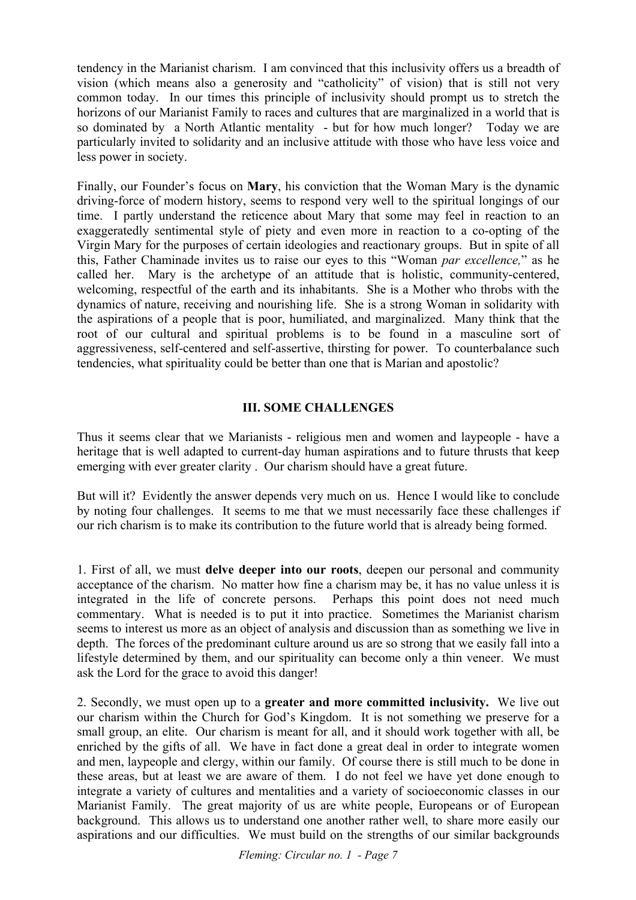tendency in the Marianist charism. I am convinced that this inclusivity offers us a breadth of vision (which means also a generosity and "catholicity" of vision) that is still not very common today. In our times this principle of inclusivity should prompt us to stretch the horizons of our Marianist Family to races and cultures that are marginalized in a world that is so dominated by a North Atlantic mentality - but for how much longer? Today we are particularly invited to solidarity and an inclusive attitude with those who have less voice and less power in society.

Finally, our Founder's focus on **Mary**, his conviction that the Woman Mary is the dynamic driving-force of modern history, seems to respond very well to the spiritual longings of our time. I partly understand the reticence about Mary that some may feel in reaction to an exaggeratedly sentimental style of piety and even more in reaction to a co-opting of the Virgin Mary for the purposes of certain ideologies and reactionary groups. But in spite of all this, Father Chaminade invites us to raise our eyes to this "Woman *par excellence,*" as he called her. Mary is the archetype of an attitude that is holistic, community-centered, welcoming, respectful of the earth and its inhabitants. She is a Mother who throbs with the dynamics of nature, receiving and nourishing life. She is a strong Woman in solidarity with the aspirations of a people that is poor, humiliated, and marginalized. Many think that the root of our cultural and spiritual problems is to be found in a masculine sort of aggressiveness, self-centered and self-assertive, thirsting for power. To counterbalance such tendencies, what spirituality could be better than one that is Marian and apostolic?

### **III. SOME CHALLENGES**

Thus it seems clear that we Marianists - religious men and women and laypeople - have a heritage that is well adapted to current-day human aspirations and to future thrusts that keep emerging with ever greater clarity . Our charism should have a great future.

But will it? Evidently the answer depends very much on us. Hence I would like to conclude by noting four challenges. It seems to me that we must necessarily face these challenges if our rich charism is to make its contribution to the future world that is already being formed.

1. First of all, we must **delve deeper into our roots**, deepen our personal and community acceptance of the charism. No matter how fine a charism may be, it has no value unless it is integrated in the life of concrete persons. Perhaps this point does not need much commentary. What is needed is to put it into practice. Sometimes the Marianist charism seems to interest us more as an object of analysis and discussion than as something we live in depth. The forces of the predominant culture around us are so strong that we easily fall into a lifestyle determined by them, and our spirituality can become only a thin veneer. We must ask the Lord for the grace to avoid this danger!

2. Secondly, we must open up to a **greater and more committed inclusivity.** We live out our charism within the Church for God's Kingdom. It is not something we preserve for a small group, an elite. Our charism is meant for all, and it should work together with all, be enriched by the gifts of all. We have in fact done a great deal in order to integrate women and men, laypeople and clergy, within our family. Of course there is still much to be done in these areas, but at least we are aware of them. I do not feel we have yet done enough to integrate a variety of cultures and mentalities and a variety of socioeconomic classes in our Marianist Family. The great majority of us are white people, Europeans or of European background. This allows us to understand one another rather well, to share more easily our aspirations and our difficulties. We must build on the strengths of our similar backgrounds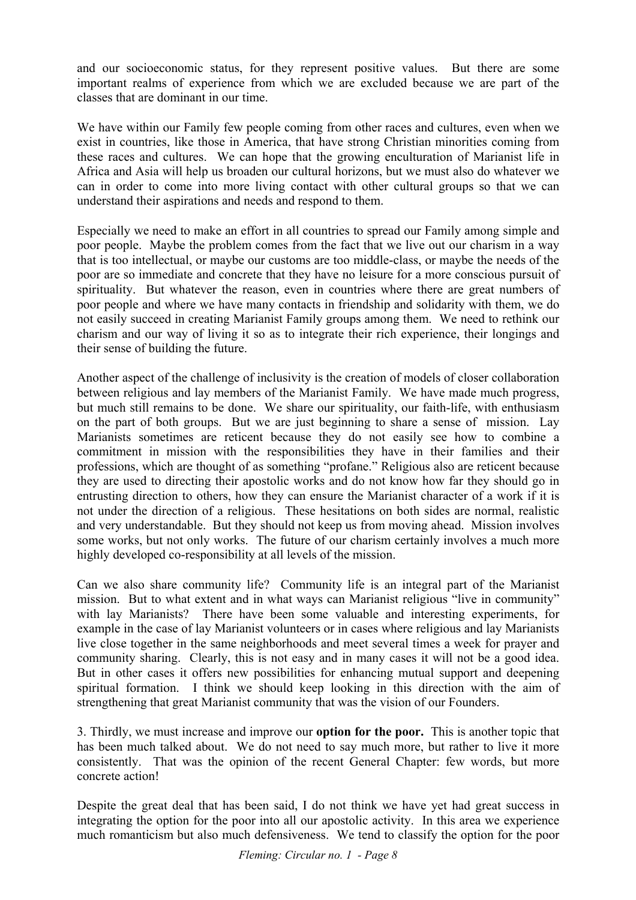and our socioeconomic status, for they represent positive values. But there are some important realms of experience from which we are excluded because we are part of the classes that are dominant in our time.

We have within our Family few people coming from other races and cultures, even when we exist in countries, like those in America, that have strong Christian minorities coming from these races and cultures. We can hope that the growing enculturation of Marianist life in Africa and Asia will help us broaden our cultural horizons, but we must also do whatever we can in order to come into more living contact with other cultural groups so that we can understand their aspirations and needs and respond to them.

Especially we need to make an effort in all countries to spread our Family among simple and poor people. Maybe the problem comes from the fact that we live out our charism in a way that is too intellectual, or maybe our customs are too middle-class, or maybe the needs of the poor are so immediate and concrete that they have no leisure for a more conscious pursuit of spirituality. But whatever the reason, even in countries where there are great numbers of poor people and where we have many contacts in friendship and solidarity with them, we do not easily succeed in creating Marianist Family groups among them. We need to rethink our charism and our way of living it so as to integrate their rich experience, their longings and their sense of building the future.

Another aspect of the challenge of inclusivity is the creation of models of closer collaboration between religious and lay members of the Marianist Family. We have made much progress, but much still remains to be done. We share our spirituality, our faith-life, with enthusiasm on the part of both groups. But we are just beginning to share a sense of mission. Lay Marianists sometimes are reticent because they do not easily see how to combine a commitment in mission with the responsibilities they have in their families and their professions, which are thought of as something "profane." Religious also are reticent because they are used to directing their apostolic works and do not know how far they should go in entrusting direction to others, how they can ensure the Marianist character of a work if it is not under the direction of a religious. These hesitations on both sides are normal, realistic and very understandable. But they should not keep us from moving ahead. Mission involves some works, but not only works. The future of our charism certainly involves a much more highly developed co-responsibility at all levels of the mission.

Can we also share community life? Community life is an integral part of the Marianist mission. But to what extent and in what ways can Marianist religious "live in community" with lay Marianists? There have been some valuable and interesting experiments, for example in the case of lay Marianist volunteers or in cases where religious and lay Marianists live close together in the same neighborhoods and meet several times a week for prayer and community sharing. Clearly, this is not easy and in many cases it will not be a good idea. But in other cases it offers new possibilities for enhancing mutual support and deepening spiritual formation. I think we should keep looking in this direction with the aim of strengthening that great Marianist community that was the vision of our Founders.

3. Thirdly, we must increase and improve our **option for the poor.** This is another topic that has been much talked about. We do not need to say much more, but rather to live it more consistently. That was the opinion of the recent General Chapter: few words, but more concrete action!

Despite the great deal that has been said, I do not think we have yet had great success in integrating the option for the poor into all our apostolic activity. In this area we experience much romanticism but also much defensiveness. We tend to classify the option for the poor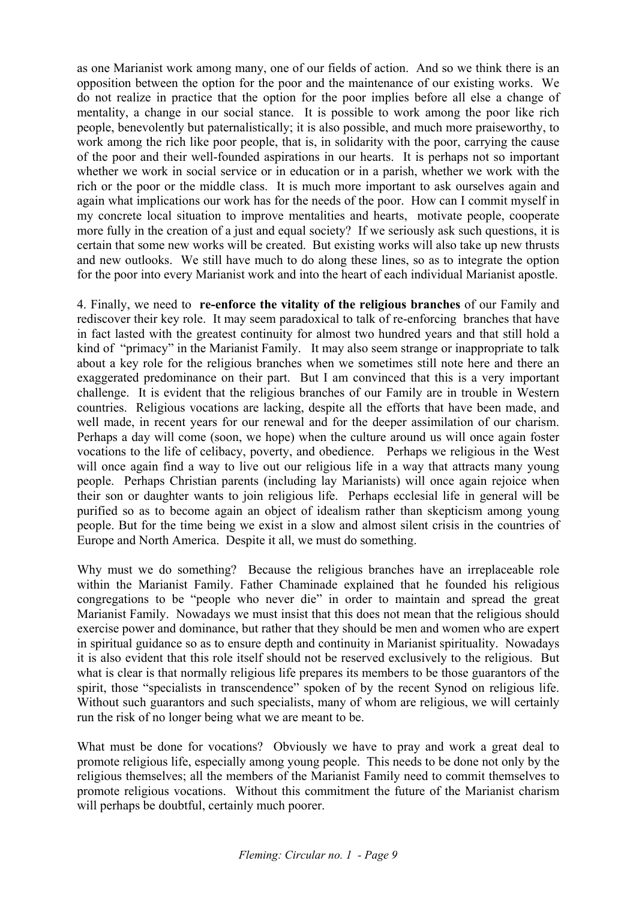as one Marianist work among many, one of our fields of action. And so we think there is an opposition between the option for the poor and the maintenance of our existing works. We do not realize in practice that the option for the poor implies before all else a change of mentality, a change in our social stance. It is possible to work among the poor like rich people, benevolently but paternalistically; it is also possible, and much more praiseworthy, to work among the rich like poor people, that is, in solidarity with the poor, carrying the cause of the poor and their well-founded aspirations in our hearts. It is perhaps not so important whether we work in social service or in education or in a parish, whether we work with the rich or the poor or the middle class. It is much more important to ask ourselves again and again what implications our work has for the needs of the poor. How can I commit myself in my concrete local situation to improve mentalities and hearts, motivate people, cooperate more fully in the creation of a just and equal society? If we seriously ask such questions, it is certain that some new works will be created. But existing works will also take up new thrusts and new outlooks. We still have much to do along these lines, so as to integrate the option for the poor into every Marianist work and into the heart of each individual Marianist apostle.

4. Finally, we need to **re-enforce the vitality of the religious branches** of our Family and rediscover their key role. It may seem paradoxical to talk of re-enforcing branches that have in fact lasted with the greatest continuity for almost two hundred years and that still hold a kind of "primacy" in the Marianist Family. It may also seem strange or inappropriate to talk about a key role for the religious branches when we sometimes still note here and there an exaggerated predominance on their part. But I am convinced that this is a very important challenge. It is evident that the religious branches of our Family are in trouble in Western countries. Religious vocations are lacking, despite all the efforts that have been made, and well made, in recent years for our renewal and for the deeper assimilation of our charism. Perhaps a day will come (soon, we hope) when the culture around us will once again foster vocations to the life of celibacy, poverty, and obedience. Perhaps we religious in the West will once again find a way to live out our religious life in a way that attracts many young people. Perhaps Christian parents (including lay Marianists) will once again rejoice when their son or daughter wants to join religious life. Perhaps ecclesial life in general will be purified so as to become again an object of idealism rather than skepticism among young people. But for the time being we exist in a slow and almost silent crisis in the countries of Europe and North America. Despite it all, we must do something.

Why must we do something? Because the religious branches have an irreplaceable role within the Marianist Family. Father Chaminade explained that he founded his religious congregations to be "people who never die" in order to maintain and spread the great Marianist Family. Nowadays we must insist that this does not mean that the religious should exercise power and dominance, but rather that they should be men and women who are expert in spiritual guidance so as to ensure depth and continuity in Marianist spirituality. Nowadays it is also evident that this role itself should not be reserved exclusively to the religious. But what is clear is that normally religious life prepares its members to be those guarantors of the spirit, those "specialists in transcendence" spoken of by the recent Synod on religious life. Without such guarantors and such specialists, many of whom are religious, we will certainly run the risk of no longer being what we are meant to be.

What must be done for vocations? Obviously we have to pray and work a great deal to promote religious life, especially among young people. This needs to be done not only by the religious themselves; all the members of the Marianist Family need to commit themselves to promote religious vocations. Without this commitment the future of the Marianist charism will perhaps be doubtful, certainly much poorer.